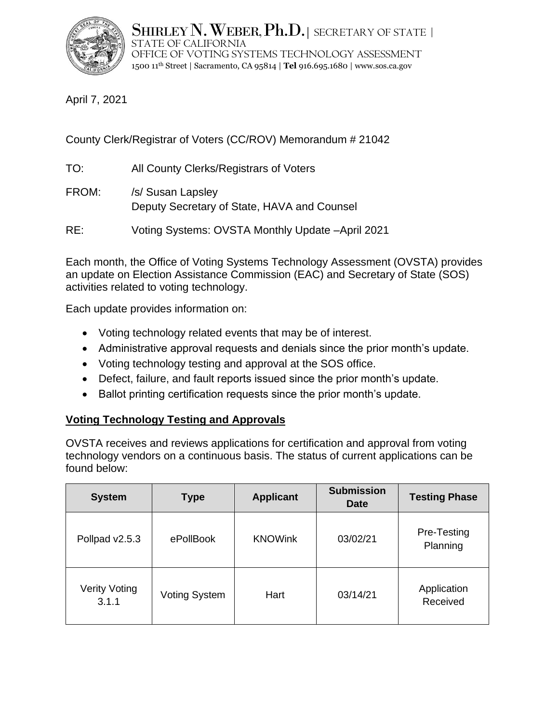

Shirley N. Weber, Ph.D. | secretary of state | STATE OF CALIFORNIA OFFICE OF VOTING SYSTEMS TECHNOLOGY ASSESSMENT 1500 11th Street | Sacramento, CA 95814 | **Tel** 916.695.1680 | www.sos.ca.gov

April 7, 2021

County Clerk/Registrar of Voters (CC/ROV) Memorandum # 21042

- TO: All County Clerks/Registrars of Voters
- FROM: /s/ Susan Lapsley Deputy Secretary of State, HAVA and Counsel
- RE: Voting Systems: OVSTA Monthly Update –April 2021

Each month, the Office of Voting Systems Technology Assessment (OVSTA) provides an update on Election Assistance Commission (EAC) and Secretary of State (SOS) activities related to voting technology.

Each update provides information on:

- Voting technology related events that may be of interest.
- Administrative approval requests and denials since the prior month's update.
- Voting technology testing and approval at the SOS office.
- Defect, failure, and fault reports issued since the prior month's update.
- Ballot printing certification requests since the prior month's update.

# **Voting Technology Testing and Approvals**

OVSTA receives and reviews applications for certification and approval from voting technology vendors on a continuous basis. The status of current applications can be found below:

| <b>System</b>                 | <b>Type</b>          | <b>Applicant</b> | <b>Submission</b><br><b>Date</b> | <b>Testing Phase</b>    |
|-------------------------------|----------------------|------------------|----------------------------------|-------------------------|
| Pollpad v2.5.3                | ePollBook            | <b>KNOWink</b>   | 03/02/21                         | Pre-Testing<br>Planning |
| <b>Verity Voting</b><br>3.1.1 | <b>Voting System</b> | Hart             | 03/14/21                         | Application<br>Received |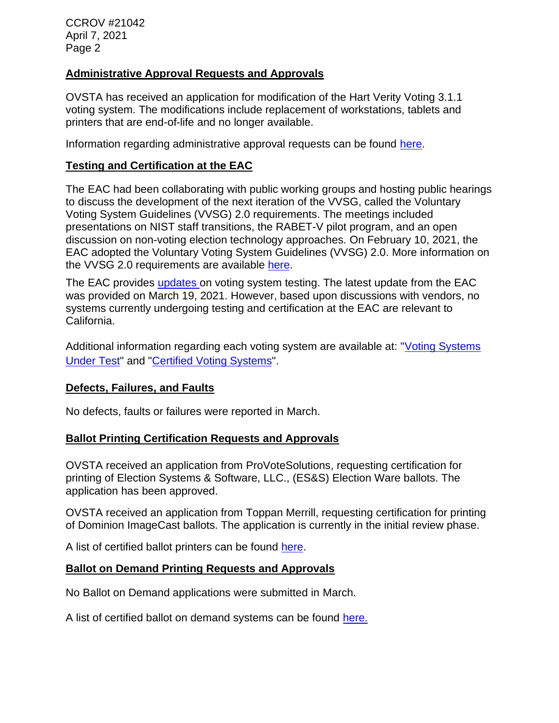CCROV #21042 April 7, 2021 Page 2

### **Administrative Approval Requests and Approvals**

OVSTA has received an application for modification of the Hart Verity Voting 3.1.1 voting system. The modifications include replacement of workstations, tablets and printers that are end-of-life and no longer available.

Information regarding administrative approval requests can be found [here.](https://www.sos.ca.gov/elections/ovsta/certification-and-approval/)

### **Testing and Certification at the EAC**

The EAC had been collaborating with public working groups and hosting public hearings to discuss the development of the next iteration of the VVSG, called the Voluntary Voting System Guidelines (VVSG) 2.0 requirements. The meetings included presentations on NIST staff transitions, the RABET-V pilot program, and an open discussion on non-voting election technology approaches. On February 10, 2021, the EAC adopted the Voluntary Voting System Guidelines (VVSG) 2.0. More information on the VVSG 2.0 requirements are available [here.](https://www.eac.gov/voting-equipment/voluntary-voting-system-guidelines)

The EAC provides [updates o](https://www.eac.gov/blogs/voting-systems-testing-updates/)n voting system testing. The latest update from the EAC was provided on March 19, 2021. However, based upon discussions with vendors, no systems currently undergoing testing and certification at the EAC are relevant to California.

Additional information regarding each voting system are available at: "Voting Systems [Under Test"](http://www.eac.gov/testing_and_certification/voting_systems_under_test.aspx) and ["Certified Voting Systems"](https://www.eac.gov/testing_and_certification/certified_voting_systems.aspx).

#### **Defects, Failures, and Faults**

No defects, faults or failures were reported in March.

### **Ballot Printing Certification Requests and Approvals**

OVSTA received an application from ProVoteSolutions, requesting certification for printing of Election Systems & Software, LLC., (ES&S) Election Ware ballots. The application has been approved.

OVSTA received an application from Toppan Merrill, requesting certification for printing of Dominion ImageCast ballots. The application is currently in the initial review phase.

A list of certified ballot printers can be found [here.](https://www.sos.ca.gov/elections/ovsta/certification-and-approval/)

### **Ballot on Demand Printing Requests and Approvals**

No Ballot on Demand applications were submitted in March.

A list of certified ballot on demand systems can be found [here](https://www.sos.ca.gov/elections/ovsta/certification-and-approval/ballot-printerballot-demand-bod-certification/).